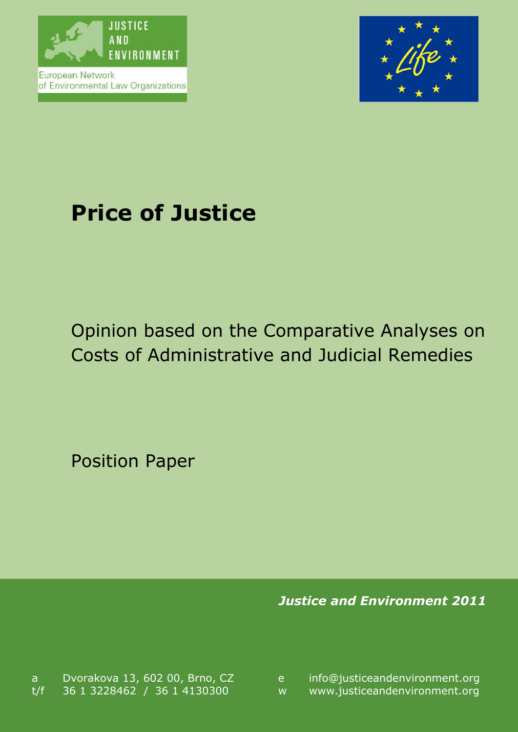

European Network of Environmental Law Organizations



# **Price of Justice**

# Opinion based on the Comparative Analyses on Costs of Administrative and Judicial Remedies

Position Paper

*Justice and Environment 2011*

a Dvorakova 13, 602 00, Brno, CZ e t/f 36 1 3228462 / 36 1 4130300 w

info@justiceandenvironment.org<br>www.justiceandenvironment.org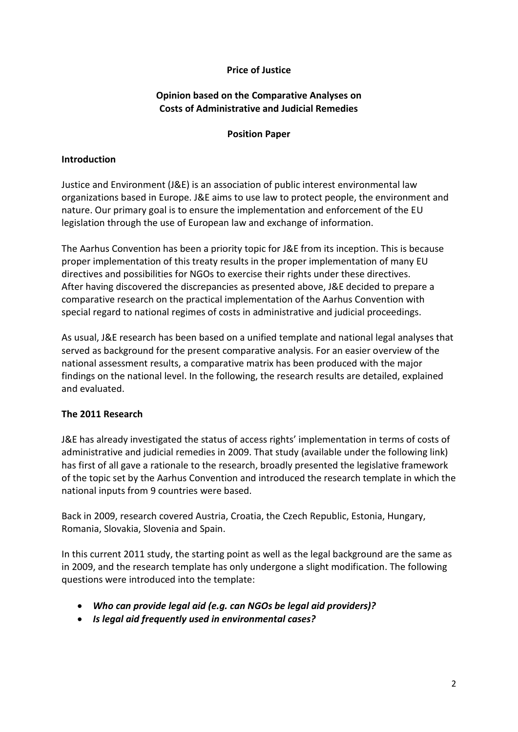### **Price of Justice**

### **Opinion based on the Comparative Analyses on Costs of Administrative and Judicial Remedies**

#### **Position Paper**

#### **Introduction**

Justice and Environment (J&E) is an association of public interest environmental law organizations based in Europe. J&E aims to use law to protect people, the environment and nature. Our primary goal is to ensure the implementation and enforcement of the EU legislation through the use of European law and exchange of information.

The Aarhus Convention has been a priority topic for J&E from its inception. This is because proper implementation of this treaty results in the proper implementation of many EU directives and possibilities for NGOs to exercise their rights under these directives. After having discovered the discrepancies as presented above, J&E decided to prepare a comparative research on the practical implementation of the Aarhus Convention with special regard to national regimes of costs in administrative and judicial proceedings.

As usual, J&E research has been based on a unified template and national legal analyses that served as background for the present comparative analysis. For an easier overview of the national assessment results, a comparative matrix has been produced with the major findings on the national level. In the following, the research results are detailed, explained and evaluated.

#### **The 2011 Research**

J&E has already investigated the status of access rights' implementation in terms of costs of administrative and judicial remedies in 2009. That study (available under the following link) has first of all gave a rationale to the research, broadly presented the legislative framework of the topic set by the Aarhus Convention and introduced the research template in which the national inputs from 9 countries were based.

Back in 2009, research covered Austria, Croatia, the Czech Republic, Estonia, Hungary, Romania, Slovakia, Slovenia and Spain.

In this current 2011 study, the starting point as well as the legal background are the same as in 2009, and the research template has only undergone a slight modification. The following questions were introduced into the template:

- *Who can provide legal aid (e.g. can NGOs be legal aid providers)?*
- *Is legal aid frequently used in environmental cases?*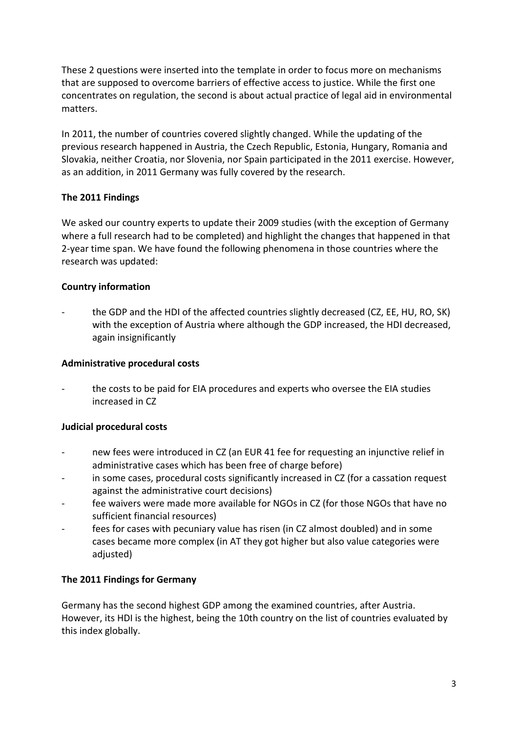These 2 questions were inserted into the template in order to focus more on mechanisms that are supposed to overcome barriers of effective access to justice. While the first one concentrates on regulation, the second is about actual practice of legal aid in environmental matters.

In 2011, the number of countries covered slightly changed. While the updating of the previous research happened in Austria, the Czech Republic, Estonia, Hungary, Romania and Slovakia, neither Croatia, nor Slovenia, nor Spain participated in the 2011 exercise. However, as an addition, in 2011 Germany was fully covered by the research.

### **The 2011 Findings**

We asked our country experts to update their 2009 studies (with the exception of Germany where a full research had to be completed) and highlight the changes that happened in that 2-year time span. We have found the following phenomena in those countries where the research was updated:

### **Country information**

the GDP and the HDI of the affected countries slightly decreased (CZ, EE, HU, RO, SK) with the exception of Austria where although the GDP increased, the HDI decreased, again insignificantly

### **Administrative procedural costs**

the costs to be paid for EIA procedures and experts who oversee the EIA studies increased in CZ

# **Judicial procedural costs**

- new fees were introduced in CZ (an EUR 41 fee for requesting an injunctive relief in administrative cases which has been free of charge before)
- in some cases, procedural costs significantly increased in CZ (for a cassation request against the administrative court decisions)
- fee waivers were made more available for NGOs in CZ (for those NGOs that have no sufficient financial resources)
- fees for cases with pecuniary value has risen (in CZ almost doubled) and in some cases became more complex (in AT they got higher but also value categories were adjusted)

#### **The 2011 Findings for Germany**

Germany has the second highest GDP among the examined countries, after Austria. However, its HDI is the highest, being the 10th country on the list of countries evaluated by this index globally.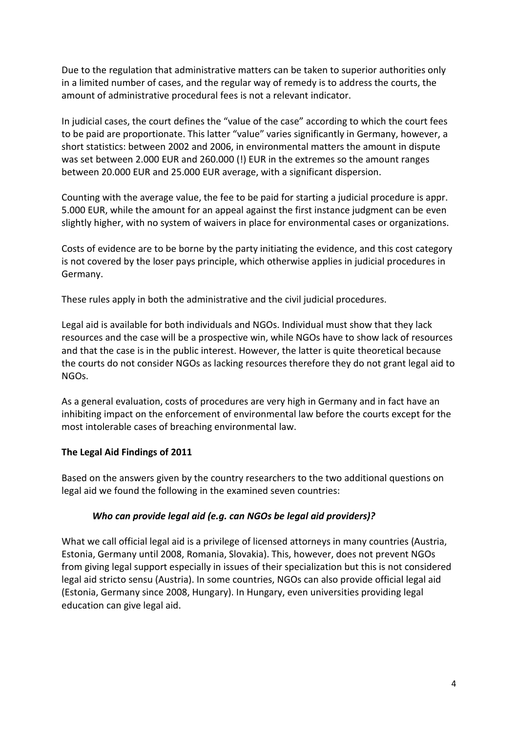Due to the regulation that administrative matters can be taken to superior authorities only in a limited number of cases, and the regular way of remedy is to address the courts, the amount of administrative procedural fees is not a relevant indicator.

In judicial cases, the court defines the "value of the case" according to which the court fees to be paid are proportionate. This latter "value" varies significantly in Germany, however, a short statistics: between 2002 and 2006, in environmental matters the amount in dispute was set between 2.000 EUR and 260.000 (!) EUR in the extremes so the amount ranges between 20.000 EUR and 25.000 EUR average, with a significant dispersion.

Counting with the average value, the fee to be paid for starting a judicial procedure is appr. 5.000 EUR, while the amount for an appeal against the first instance judgment can be even slightly higher, with no system of waivers in place for environmental cases or organizations.

Costs of evidence are to be borne by the party initiating the evidence, and this cost category is not covered by the loser pays principle, which otherwise applies in judicial procedures in Germany.

These rules apply in both the administrative and the civil judicial procedures.

Legal aid is available for both individuals and NGOs. Individual must show that they lack resources and the case will be a prospective win, while NGOs have to show lack of resources and that the case is in the public interest. However, the latter is quite theoretical because the courts do not consider NGOs as lacking resources therefore they do not grant legal aid to NGOs.

As a general evaluation, costs of procedures are very high in Germany and in fact have an inhibiting impact on the enforcement of environmental law before the courts except for the most intolerable cases of breaching environmental law.

#### **The Legal Aid Findings of 2011**

Based on the answers given by the country researchers to the two additional questions on legal aid we found the following in the examined seven countries:

#### *Who can provide legal aid (e.g. can NGOs be legal aid providers)?*

What we call official legal aid is a privilege of licensed attorneys in many countries (Austria, Estonia, Germany until 2008, Romania, Slovakia). This, however, does not prevent NGOs from giving legal support especially in issues of their specialization but this is not considered legal aid stricto sensu (Austria). In some countries, NGOs can also provide official legal aid (Estonia, Germany since 2008, Hungary). In Hungary, even universities providing legal education can give legal aid.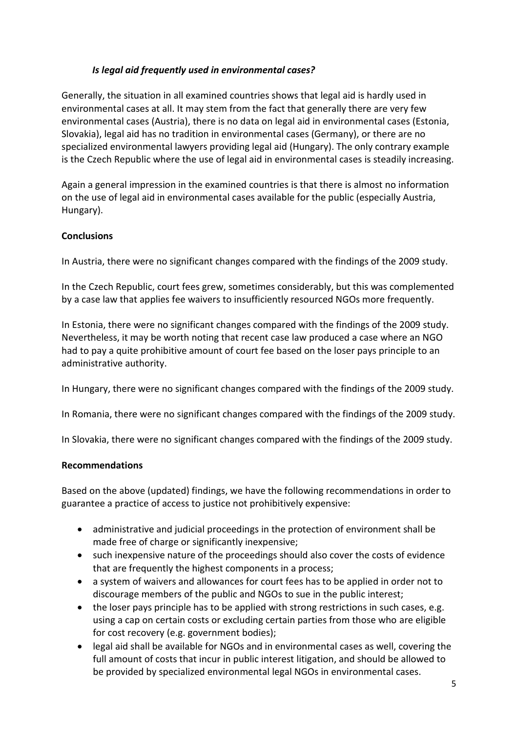## *Is legal aid frequently used in environmental cases?*

Generally, the situation in all examined countries shows that legal aid is hardly used in environmental cases at all. It may stem from the fact that generally there are very few environmental cases (Austria), there is no data on legal aid in environmental cases (Estonia, Slovakia), legal aid has no tradition in environmental cases (Germany), or there are no specialized environmental lawyers providing legal aid (Hungary). The only contrary example is the Czech Republic where the use of legal aid in environmental cases is steadily increasing.

Again a general impression in the examined countries is that there is almost no information on the use of legal aid in environmental cases available for the public (especially Austria, Hungary).

#### **Conclusions**

In Austria, there were no significant changes compared with the findings of the 2009 study.

In the Czech Republic, court fees grew, sometimes considerably, but this was complemented by a case law that applies fee waivers to insufficiently resourced NGOs more frequently.

In Estonia, there were no significant changes compared with the findings of the 2009 study. Nevertheless, it may be worth noting that recent case law produced a case where an NGO had to pay a quite prohibitive amount of court fee based on the loser pays principle to an administrative authority.

In Hungary, there were no significant changes compared with the findings of the 2009 study.

In Romania, there were no significant changes compared with the findings of the 2009 study.

In Slovakia, there were no significant changes compared with the findings of the 2009 study.

#### **Recommendations**

Based on the above (updated) findings, we have the following recommendations in order to guarantee a practice of access to justice not prohibitively expensive:

- administrative and judicial proceedings in the protection of environment shall be made free of charge or significantly inexpensive;
- such inexpensive nature of the proceedings should also cover the costs of evidence that are frequently the highest components in a process;
- a system of waivers and allowances for court fees has to be applied in order not to discourage members of the public and NGOs to sue in the public interest;
- the loser pays principle has to be applied with strong restrictions in such cases, e.g. using a cap on certain costs or excluding certain parties from those who are eligible for cost recovery (e.g. government bodies);
- legal aid shall be available for NGOs and in environmental cases as well, covering the full amount of costs that incur in public interest litigation, and should be allowed to be provided by specialized environmental legal NGOs in environmental cases.